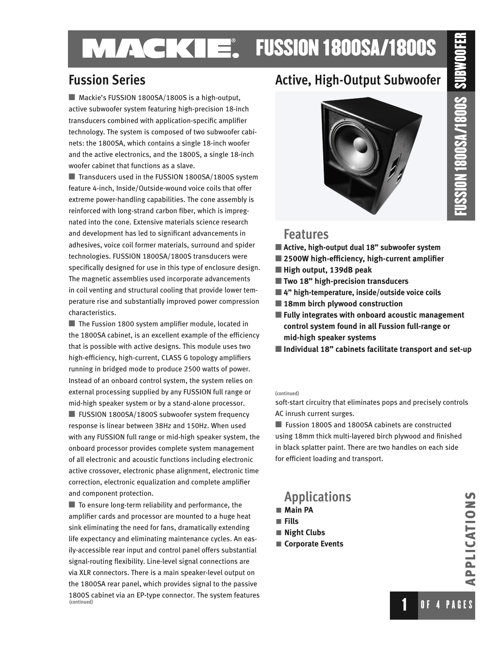## MACKIE. FUSSION 1800SA/1800S

■ Mackie's FUSSION 1800SA/1800S is a high-output, active subwoofer system featuring high-precision 18-inch transducers combined with application-specific amplifier technology. The system is composed of two subwoofer cabinets: the 1800SA, which contains a single 18-inch woofer and the active electronics, and the 1800S, a single 18-inch woofer cabinet that functions as a slave.

■ Transducers used in the FUSSION 1800SA/1800S system feature 4-inch, Inside/Outside-wound voice coils that offer extreme power-handling capabilities. The cone assembly is reinforced with long-strand carbon fiber, which is impregnated into the cone. Extensive materials science research and development has led to significant advancements in adhesives, voice coil former materials, surround and spider technologies. FUSSION 1800SA/1800S transducers were specifically designed for use in this type of enclosure design. The magnetic assemblies used incorporate advancements in coil venting and structural cooling that provide lower temperature rise and substantially improved power compression characteristics.

■ The Fussion 1800 system amplifier module, located in the 1800SA cabinet, is an excellent example of the efficiency that is possible with active designs. This module uses two high-efficiency, high-current, CLASS G topology amplifiers running in bridged mode to produce 2500 watts of power. Instead of an onboard control system, the system relies on external processing supplied by any FUSSION full range or mid-high speaker system or by a stand-alone processor.

■ FUSSION 1800SA/1800S subwoofer system frequency response is linear between 38Hz and 150Hz. When used with any FUSSION full range or mid-high speaker system, the onboard processor provides complete system management of all electronic and acoustic functions including electronic active crossover, electronic phase alignment, electronic time correction, electronic equalization and complete amplifier and component protection.

 $\blacksquare$  To ensure long-term reliability and performance, the amplifier cards and processor are mounted to a huge heat sink eliminating the need for fans, dramatically extending life expectancy and eliminating maintenance cycles. An easily-accessible rear input and control panel offers substantial signal-routing flexibility. Line-level signal connections are via XLR connectors. There is a main speaker-level output on the 1800SA rear panel, which provides signal to the passive 1800S cabinet via an EP-type connector. The system features (continued) **1 OF 4 PAGES 1 1 OF 4 PAGES** 

## **Fussion Series Active, High-Output Subwoofer**



### **Features**

- **Active, high-output dual 18" subwoofer system**
- 2500W high-efficiency, high-current amplifier
- **High output, 139dB peak**
- **Two 18" high-precision transducers**
- 4" high-temperature, inside/outside voice coils
- 18mm birch plywood construction
- **Fully integrates with onboard acoustic management control system found in all Fussion full-range or mid-high speaker systems**
- **Individual 18" cabinets facilitate transport and set-up**

### **(continued)**

soft-start circuitry that eliminates pops and precisely controls AC inrush current surges.

■ Fussion 1800S and 1800SA cabinets are constructed using 18mm thick multi-layered birch plywood and finished in black splatter paint. There are two handles on each side for efficient loading and transport.

## **Applications**

- **Main PA**
- **Fills**
- **Night Clubs**
- **Corporate Events**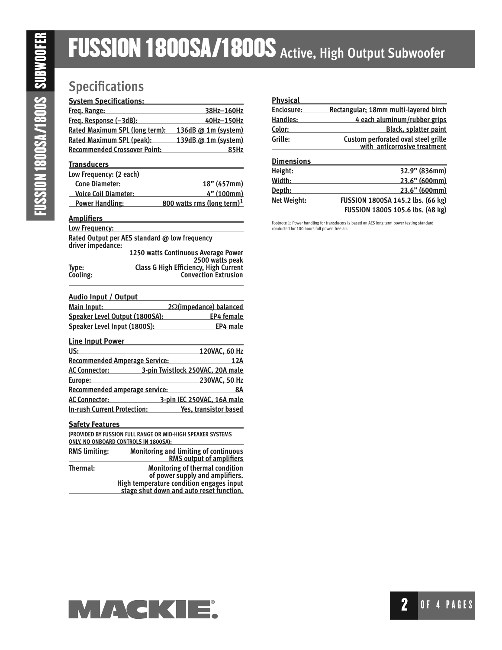# FUSSION 1800SA/1800S **Active, High Output Subwoofer**

# Specifications<br>
Specifications<br>
Excellentians<br>
Free, Romgen C-Millis, etm.). 1980: 1891-1600<br>
Free, Romgen C-Millis, etm.). 1980: 8D in Cysten)<br>
Read Rossimus Structure (1980)<br>
Read Rossimus Structure (1980)<br>
Read Rossimu **System Specifications: Freq. Range: 38Hz–160Hz Freq. Response (–3dB): 40Hz–150Hz Rated Maximum SPL (long term): 136dB @ 1m (system) Rated Maximum SPL (peak): 139dB @ 1m (system) Recommended Crossover Point: 85Hz Transducers Low Frequency: (2 each)** *Cone Diameter:* **18" (457mm) Voice Coil Diameter: 4" (100mm) Power Handling: 800 watts rms (long term)1 Amplifiers Low Frequency: Rated Output per AES standard @ low frequency driver impedance: 1250 watts Continuous Average Power 2500 watts peak Type: Class G High Efficiency, High Current Convection Extrusion Audio Input / Output**

| <b>AUGIO IMPUL / OULDUL</b>    |                                     |
|--------------------------------|-------------------------------------|
| Main Input:                    | 2 <sup>2</sup> (impedance) balanced |
| Speaker Level Output (1800SA): | <b>EP4</b> female                   |
| Speaker Level Input (1800S):   | EP4 male                            |
|                                |                                     |

| <b>Line Input Power</b>              |                                  |
|--------------------------------------|----------------------------------|
| US:                                  | 120VAC, 60 Hz                    |
| <b>Recommended Amperage Service:</b> | 12A                              |
| <b>AC Connector:</b>                 | 3-pin Twistlock 250VAC, 20A male |
| Europe:                              | 230VAC, 50 Hz                    |
| Recommended amperage service:        | 8Α                               |
| <b>AC Connector:</b>                 | 3-pin IEC 250VAC, 16A male       |
| <b>In-rush Current Protection:</b>   | Yes, transistor based            |

### **Safety Features**

**(PROVIDED BY FUSSION FULL RANGE OR MID-HIGH SPEAKER SYSTEMS ONLY, NO ONBOARD CONTROLS IN 1800SA): RMS limiting: Monitoring and limiting of continuous** 

| <b>KIND UNITED</b> | MONICULIUS ANG UNITEDIS OF CONTINUOUS<br><b>RMS output of amplifiers</b>                                                                                   |
|--------------------|------------------------------------------------------------------------------------------------------------------------------------------------------------|
| Thermal:           | Monitoring of thermal condition<br>of power supply and amplifiers.<br>High temperature condition engages input<br>stage shut down and auto reset function. |
|                    |                                                                                                                                                            |

| <u>Physical</u>   |                                                                     |  |
|-------------------|---------------------------------------------------------------------|--|
| Enclosure:        | Rectangular; 18mm multi-layered birch                               |  |
| Handles:          | 4 each aluminum/rubber grips                                        |  |
| Color:            | <b>Black, splatter paint</b>                                        |  |
| Grille:           | Custom perforated oval steel grille<br>with anticorrosive treatment |  |
| <b>Dimensions</b> |                                                                     |  |
| Height:           | 32.9" (836mm)                                                       |  |
| Width:            | 23.6" (600mm)                                                       |  |
| Depth:            | 23.6" (600mm)                                                       |  |

Footnote 1: Power handling for transducers is based on AES long term power testing standard conducted for 100 hours full power, free air.

**Net Weight: FUSSION 1800SA 145.2 lbs. (66 kg)**

 **FUSSION 1800S 105.6 lbs. (48 kg)**



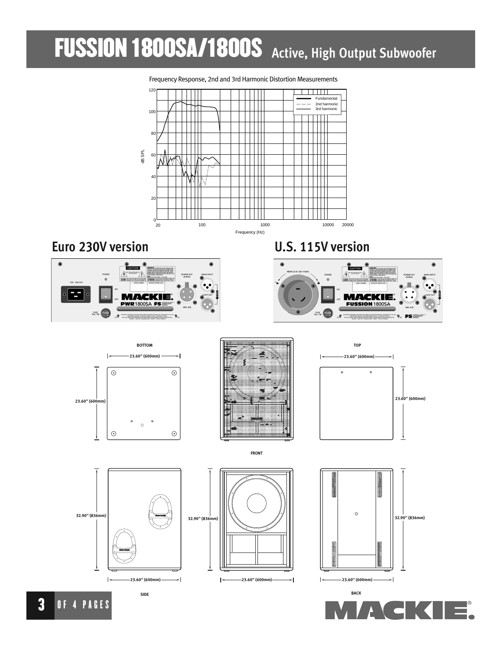# FUSSION 1800SA/1800S **Active, High Output Subwoofer**

Frequency Response, 2nd and 3rd Harmonic Distortion Measurements 120 <u> La Bibliotti III.</u> Fundam 1TT 2nd harmonic  $-$ 3rd harmonic 100 80 dB SPL 60 40  $\alpha$  $^{0}$ 20 20000100 1000 1000 1000 10000 10000 10000 10000 10000 10000 10000 10000 10000 10000 10000 10000 10000 100 100 100 1 Frequency (Hz) **Euro 230V version U.S. 115V version**  $\bullet$ **UTION** a - Income de Basilia (Maria de<br>1 de marzo - Alexandro Vallega, frances<br>1 de marzo - Alexandro Vallega, francesa **PWR1800SA FS! FUSSION** 1800SA  $10015$   $\overline{1001}$ FUSE<br>166/58 (FUSE)  $\begin{picture}(100,100)(0,0) \put(0,0){\vector(1,0){100}} \put(0,0){\vector(1,0){100}} \put(0,0){\vector(1,0){100}} \put(0,0){\vector(1,0){100}} \put(0,0){\vector(1,0){100}} \put(0,0){\vector(1,0){100}} \put(0,0){\vector(1,0){100}} \put(0,0){\vector(1,0){100}} \put(0,0){\vector(1,0){100}} \put(0,0){\vector(1,0){100}} \put(0,0){\vector(1,0){100}} \put(0,$ **EXECUTIVE AND MANUFACTURE PURSUARY ACCORDING MANUFACTURE PRODUCTION CONTINUES AND RESIDENTS OF THE SECOND MANUFACTURE OF THE SECOND MANUFACTURE OF THE SECOND MANUFACTURE OF THE SECOND MANUFACTURE OF THE SECOND MANUFACTUR**  $\mathcal{F}$ **BOTTOM TOP**  $\vdash$ **23.60" (600mm) 23.60" (600mm)**  $\odot$  $\odot$  $\ddot{\bullet}$ **23.60" (600mm) 23.60" (600mm) MACKET**  $\odot$  $\odot$ **FRONT 32.90" (836mm) 32.90" (836mm) 32.90" (836mm)** Ŀ **23.60" (600mm) 23.60" (600mm) 23.60" (600mm) SIDE BACK**

 $^{\circ}$